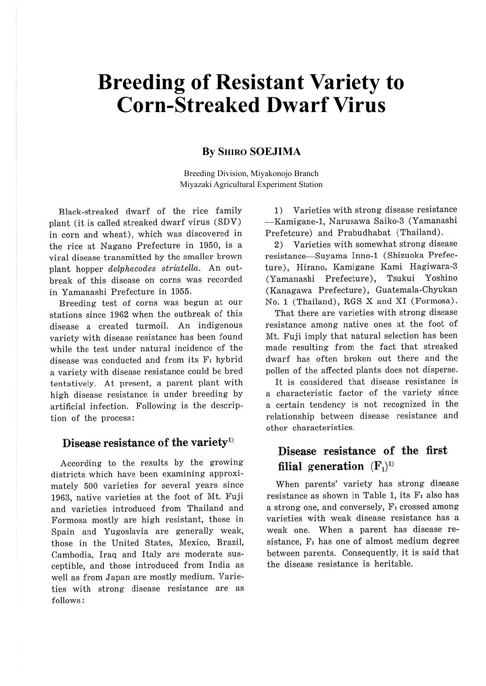# **Breeding of Resistant Variety to Corn-Streaked Dwarf Virus**

### **By SHIRO SOEJIMA**

Breeding Division, Miyakonojo Branch Miyazaki Agricultural Experiment Station

Black-streaked dwarf of the rice family plant (it is called streaked dwarf virus (SDV) in corn and wheat), which was discovered in the rice at Nagano Prefecture in 1950, is a viral disease transmitted by the smaller brown plant hopper delphacodes striatella. An outbreak of this disease on corns was recorded in Yamanashi Prefecture in 1955.

Breeding test of corns was begun at our stations since 1962 when the outbreak of this disease a created turmoil. An indigenous variety with disease resistance has been found while the test under natural incidence of the disease was conducted and from its F<sub>1</sub> hybrid a variety with disease resistance could be bred tentatively. At present, a parent plant with high disease resistance is under breeding by artificial infection. Following is the description of the process:

### **Disease resistance of the variety1 >**

According to the results by the growing districts which have been examining approximately 500 varieties for several years since 1963, native varieties at the foot of Mt. Fuji and varieties introduced from Thailand and Formosa mostly are high resistant, those in Spain and Yugoslavia are generally weak, those in the United States, Mexico, Brazil, Cambodia, Iraq and Italy are moderate susceptible, and those introduced from India as well as from Japan are mostly medium. Varieties with strong disease resistance are as follows:

1) Varieties with strong disease resistance -Kamigane-1, Narusawa Saiko-3 (Yamanashi Prefetcure) and Prabudhabat (Thailand).

2) Varieties with somewhat strong disease resistance- Suyama Inno-1 (Shizuoka Prefecture), Hirano, Kamigane Kami Hagiwara-3 (Yamanashi Prefecture), Tsukui Yoshino (Kanagawa Prefecture), Guatemala-Chyukan No. 1 (Thailand), RGS X and XI (Formosa).

That there are varieties with strong disease resistance among native ones at the foot of Mt. Fuji imply that natural selection has been made resulting from the fact that streaked dwarf has often broken out there and the pollen of the affected plants does not disperse.

It is considered that disease resistance is a characteristic factor of the variety since a certain tendency is not recognized in the relationship between disease resistance and other characteristics.

## **Disease resistance of the first**  filial generation  $(F_1)^{10}$

When parents' variety has strong disease resistance as shown in Table 1, its  $F_1$  also has a strong one, and conversely, F<sub>1</sub> crossed among varieties with weak disease resistance has a weak one. When a parent has disease resistance, F, has one of almost medium degree between parents. Consequently, it is said that the disease resistance is heritable.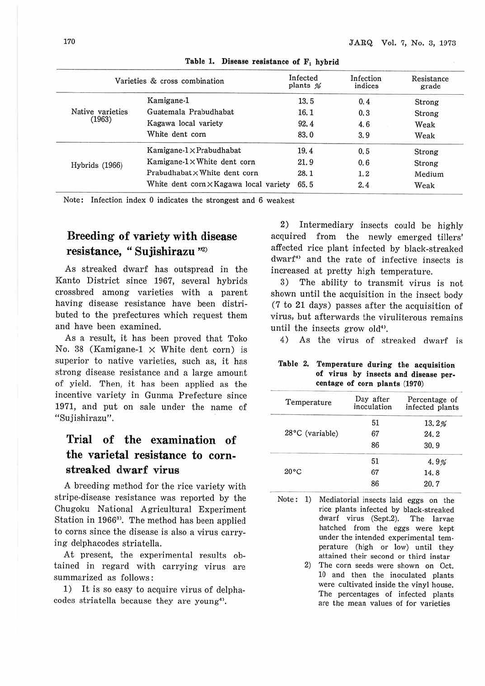| Varieties & cross combination |                                      | Infected<br>plants % | Infection<br>indices | Resistance<br>grade |
|-------------------------------|--------------------------------------|----------------------|----------------------|---------------------|
|                               | Kamigane-1                           | 13.5                 | 0.4                  | Strong              |
| Native varieties<br>(1963)    | Guatemala Prabudhabat                | 16.1                 | 0.3                  | Strong              |
|                               | Kagawa local variety                 | 92.4                 | 4.6                  | Weak                |
|                               | White dent corn                      | 83.0                 | 3.9                  | Weak                |
|                               | Kamigane- $1 \times$ Prabudhabat     | 19.4                 | 0.5                  | Strong              |
| Hybrids (1966)                | Kamigane-1×White dent corn           | 21.9                 | 0.6                  | Strong              |
|                               | Prabudhabat × White dent corn        | 28.1                 | 1.2                  | Medium              |
|                               | White dent corn×Kagawa local variety | 65.5                 | 2.4                  | Weak                |

**Table 1. Disease resistance of F, hybrid** 

Note: Infection index 0 indicates the strongest and 6 weakest

# **Breeding of variety with disease resistance, " Sujishirazu** "<sup>2</sup> )

As streaked dwarf bas outspread in the Kanto District since 1967, several hybrids crossbred among varieties with a parent having disease resistance have been distributed to the prefectures which request them and have been examined.

As a result, it has been proved that Toko No. 38 (Kamigane-1  $\times$  White dent corn) is superior to native varieties, such as, it has strong disease resistance and a large amount of yield. Then, it has been applied as the incentive variety in Gunma Prefecture since 1971, and put on sale under the name of "Sujishirazu".

## **Trial of the examination of the varietal resistance to cornstreaked dwarf virus**

A breeding method for the rice variety with stripe-disease resistance was reported by the Chugoku National Agricultural Experiment Station in 1966<sup>3</sup>. The method has been applied to corns since the disease is also a virus carrying delphacodes striatella.

At present, the experimental results obtained in regard with carrying virus are summarized as follows:

1) It is so easy to acquire virus of delphacodes striatella because they are young<sup>4)</sup>.

2) Intermediary insects could be highly acquired from the newly emerged tillers' affected rice plant infected by black-streaked dwarf<sup>4</sup> and the rate of infective insects is increased at pretty high temperature.

3) The ability to transmit virus is not shown until the acquisition in the insect body (7 to 21 days) passes after the acquisition of virus, but afterwards the viruliterous remains until the insects grow old<sup>4)</sup>.

4) As the virus of streaked dwarf is

#### **Table 2. Temperature during the acquisition of virus by insects and disease percentage of corn plants (1970)**

| Temperature     | Day after<br>inoculation | Percentage of<br>infected plants |
|-----------------|--------------------------|----------------------------------|
|                 | 51                       | 13.2%                            |
| 28°C (variable) | 67                       | 24.2                             |
|                 | 86                       | 30.9                             |
|                 | 51                       | 4.9%                             |
| $20^{\circ}$ C  | 67                       | 14.8                             |
|                 | 86                       | 20.7                             |

Note : 1) Mediatorial insects laid eggs on the rice plants infected by black-streaked dwarf virus (Sept.2). The larvae hatched from the eggs were kept under the intended experimental temperature (high or low) until they attained their second or third instar

> 2) The corn seeds were shown on Oct. 10 and then the inoculated plants were cultivated inside the vinyl house. The percentages of infected plants are the mean values of for varieties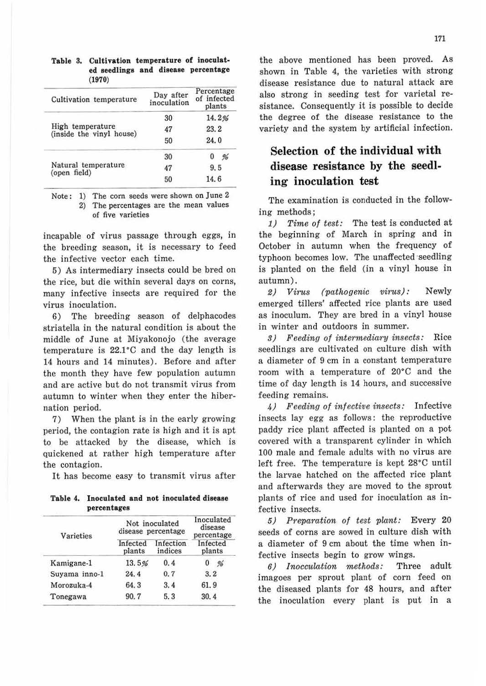#### **Table** 3. **Cultivation temperature of inoculated seedlings and disease percentage**  (1970)

| Cultivation temperature                      | Day after<br>inoculation | Percentage<br>of infected<br>plants |
|----------------------------------------------|--------------------------|-------------------------------------|
|                                              | 30                       | 14.2%                               |
| High temperature<br>(inside the vinyl house) | 47                       | 23.2                                |
|                                              | 50<br>30<br>47<br>50     | 24.0                                |
|                                              |                          | $0\frac{96}{9}$                     |
| Natural temperature<br>(open field)          |                          | 9.5                                 |
|                                              |                          | 14.6                                |

Note: 1) The corn seeds were shown on June 2

2) The percentages are the mean values of five varieties

incapable of virus passage through eggs, in the breeding season, it is necessary to feed the infective vector each time.

5) As intermediary insects could be bred on the rice, but die within several days on corns, many infective insects are required for the virus inoculation.

6) The breeding season of delphacodes striatella in the natural condition is about the middle of June at Miyakonojo (the average temperature is  $22.1^{\circ}$ C and the day length is 14 hours and 14 minutes). Before and after the month they have few population autumn and are active but do not transmit virus from autumn to winter when they enter the hibernation period.

7) When the plant is in the early growing period, the contagion rate is high and it is apt to be attacked by the disease, which is quickened at rather high temperature after the contagion.

It has become easy to transmit virus after

|             | Table 4. Inoculated and not inoculated disease |  |
|-------------|------------------------------------------------|--|
| percentages |                                                |  |

| Varieties     | Not inoculated<br>disease percentage | Inoculated<br>disease<br>percentage |                    |  |
|---------------|--------------------------------------|-------------------------------------|--------------------|--|
|               | Infected<br>plants                   | Infection<br>indices                | Infected<br>plants |  |
| Kamigane-1    | 13.5%                                | 0.4                                 | 0<br>$\frac{6}{2}$ |  |
| Suyama inno-1 | 24.4                                 | 0.7                                 | 3, 2               |  |
| Morozuka-4    | 64.3                                 | 3.4                                 | 61.9               |  |
| Tonegawa      | 90.7                                 | 5.3                                 | 30.4               |  |

the above mentioned has been proved. As shown in Table 4, the varieties with strong disease resistance due to natural attack are also strong in seeding test for varietal resistance. Consequently it is possible to decide the degree of the disease resistance to the variety and the system by artificial infection.

# **Selection** of **the individual with disease resistance by the seedling inoculation test**

The examination is conducted in the following methods;

1) Time of test: The test is conducted at the beginning of March in spring and in October in autumn when the frequency of typhoon becomes low. The unaffected seedling is planted on the field (in a vinyl house in autumn).

2) Virus (pathogenic virus): Newly emerged tillers' affected rice plants are used as inoculum. They are bred in a vinyl house in winter and outdoors in summer.

3) Feeding of intermediary insects: Rice seedlings are cultivated on culture dish with a diameter of 9 cm in a constant temperature room with a temperature of 20°C and the time of day length is 14 hours, and successive feeding remains.

4) Feeding of infective insects: Infective insects lay egg as follows: the reproductive paddy rice plant affected is planted on a pot covered with a transparent cylinder in which 100 male and female adults with no virus are left free. The temperature is kept 28°C until the larvae hatched on the affected rice plant and afterwards they are moved to the sprout plants of rice and used for inoculation as infective insects.

5) Preparation of test plant: Every 20 seeds of corns are sowed in culture dish with a diameter of 9 cm about the time when infective insects begin to grow wings.

6) Inocculation methods: Three adult imagoes per sprout plant of corn feed on the diseased plants for 48 hours, and after the inoculation every plant is put in a